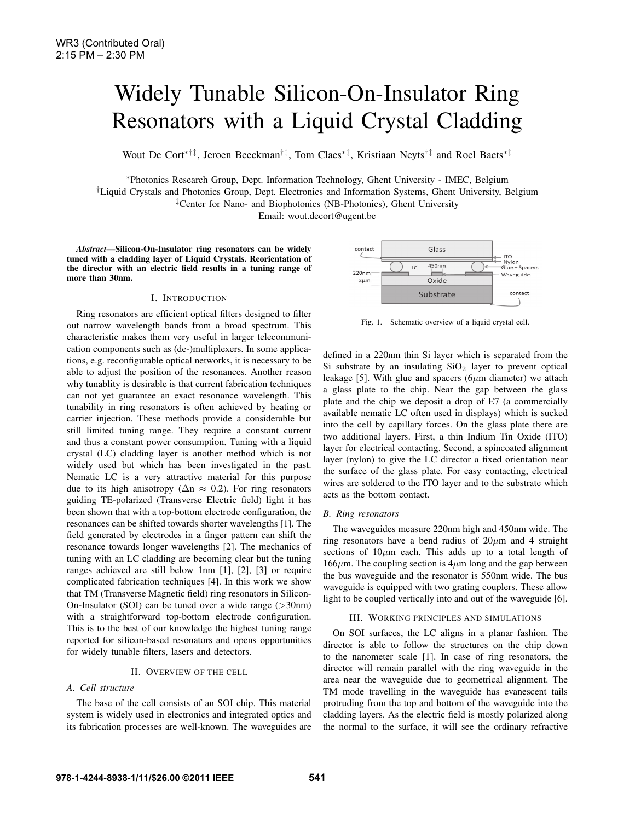# Widely Tunable Silicon-On-Insulator Ring Resonators with a Liquid Crystal Cladding

Wout De Cort∗†‡, Jeroen Beeckman†‡, Tom Claes∗‡, Kristiaan Neyts†‡ and Roel Baets∗‡

<sup>∗</sup>Photonics Research Group, Dept. Information Technology, Ghent University - IMEC, Belgium

†Liquid Crystals and Photonics Group, Dept. Electronics and Information Systems, Ghent University, Belgium ‡Center for Nano- and Biophotonics (NB-Photonics), Ghent University

Email: wout.decort@ugent.be

*Abstract*—Silicon-On-Insulator ring resonators can be widely tuned with a cladding layer of Liquid Crystals. Reorientation of the director with an electric field results in a tuning range of more than 30nm.

### I. INTRODUCTION

Ring resonators are efficient optical filters designed to filter out narrow wavelength bands from a broad spectrum. This characteristic makes them very useful in larger telecommunication components such as (de-)multiplexers. In some applications, e.g. reconfigurable optical networks, it is necessary to be able to adjust the position of the resonances. Another reason why tunablity is desirable is that current fabrication techniques can not yet guarantee an exact resonance wavelength. This tunability in ring resonators is often achieved by heating or carrier injection. These methods provide a considerable but still limited tuning range. They require a constant current and thus a constant power consumption. Tuning with a liquid crystal (LC) cladding layer is another method which is not widely used but which has been investigated in the past. Nematic LC is a very attractive material for this purpose due to its high anisotropy ( $\Delta n \approx 0.2$ ). For ring resonators guiding TE-polarized (Transverse Electric field) light it has been shown that with a top-bottom electrode configuration, the resonances can be shifted towards shorter wavelengths [1]. The field generated by electrodes in a finger pattern can shift the resonance towards longer wavelengths [2]. The mechanics of tuning with an LC cladding are becoming clear but the tuning ranges achieved are still below 1nm [1], [2], [3] or require complicated fabrication techniques [4]. In this work we show that TM (Transverse Magnetic field) ring resonators in Silicon-On-Insulator (SOI) can be tuned over a wide range  $(>\,30 \text{nm})$ with a straightforward top-bottom electrode configuration. This is to the best of our knowledge the highest tuning range reported for silicon-based resonators and opens opportunities for widely tunable filters, lasers and detectors.

# II. OVERVIEW OF THE CELL

# *A. Cell structure*

The base of the cell consists of an SOI chip. This material system is widely used in electronics and integrated optics and its fabrication processes are well-known. The waveguides are



Fig. 1. Schematic overview of a liquid crystal cell.

defined in a 220nm thin Si layer which is separated from the Si substrate by an insulating  $SiO<sub>2</sub>$  layer to prevent optical leakage [5]. With glue and spacers ( $6\mu$ m diameter) we attach a glass plate to the chip. Near the gap between the glass plate and the chip we deposit a drop of E7 (a commercially available nematic LC often used in displays) which is sucked into the cell by capillary forces. On the glass plate there are two additional layers. First, a thin Indium Tin Oxide (ITO) layer for electrical contacting. Second, a spincoated alignment layer (nylon) to give the LC director a fixed orientation near the surface of the glass plate. For easy contacting, electrical wires are soldered to the ITO layer and to the substrate which acts as the bottom contact.

#### *B. Ring resonators*

The waveguides measure 220nm high and 450nm wide. The ring resonators have a bend radius of  $20 \mu m$  and 4 straight sections of  $10\mu$ m each. This adds up to a total length of  $166 \mu$ m. The coupling section is  $4 \mu$ m long and the gap between the bus waveguide and the resonator is 550nm wide. The bus waveguide is equipped with two grating couplers. These allow light to be coupled vertically into and out of the waveguide [6].

## III. WORKING PRINCIPLES AND SIMULATIONS

On SOI surfaces, the LC aligns in a planar fashion. The director is able to follow the structures on the chip down to the nanometer scale [1]. In case of ring resonators, the director will remain parallel with the ring waveguide in the area near the waveguide due to geometrical alignment. The TM mode travelling in the waveguide has evanescent tails protruding from the top and bottom of the waveguide into the cladding layers. As the electric field is mostly polarized along the normal to the surface, it will see the ordinary refractive